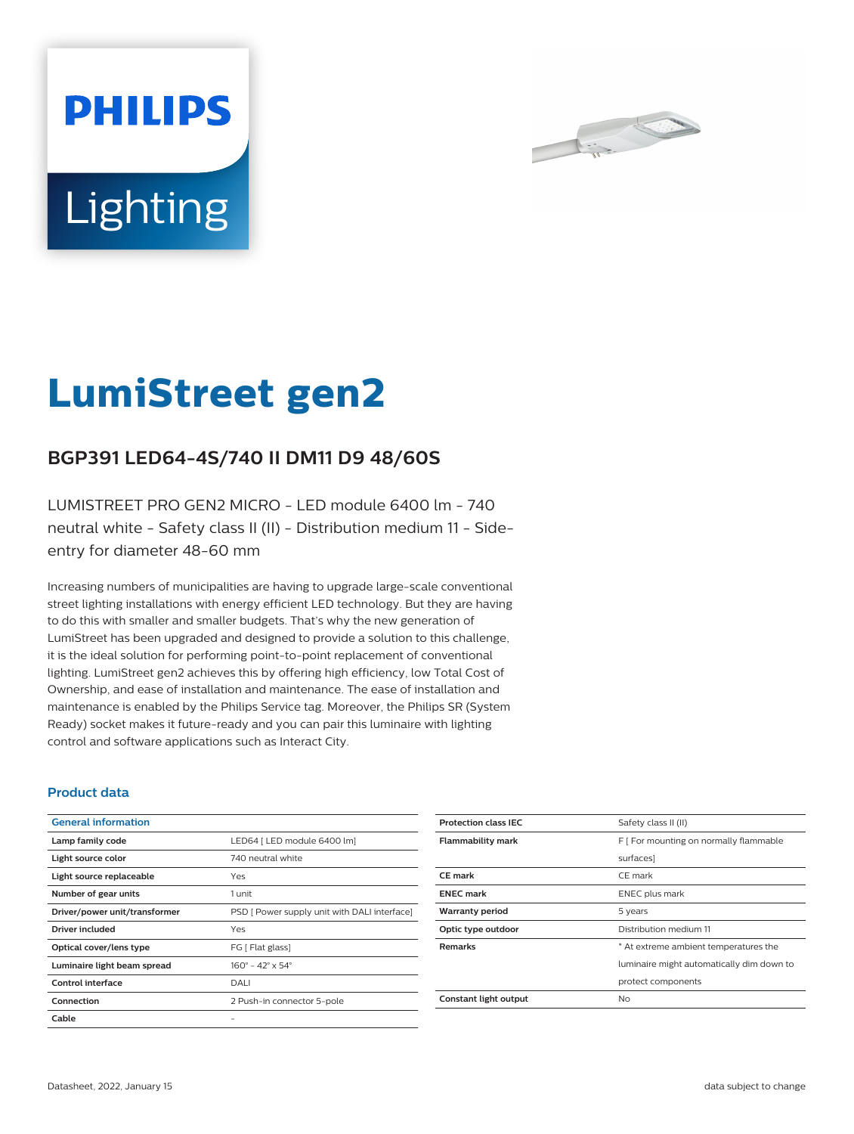



# **LumiStreet gen2**

## **BGP391 LED64-4S/740 II DM11 D9 48/60S**

LUMISTREET PRO GEN2 MICRO - LED module 6400 lm - 740 neutral white - Safety class II (II) - Distribution medium 11 - Sideentry for diameter 48-60 mm

Increasing numbers of municipalities are having to upgrade large-scale conventional street lighting installations with energy efficient LED technology. But they are having to do this with smaller and smaller budgets. That's why the new generation of LumiStreet has been upgraded and designed to provide a solution to this challenge, it is the ideal solution for performing point-to-point replacement of conventional lighting. LumiStreet gen2 achieves this by offering high efficiency, low Total Cost of Ownership, and ease of installation and maintenance. The ease of installation and maintenance is enabled by the Philips Service tag. Moreover, the Philips SR (System Ready) socket makes it future-ready and you can pair this luminaire with lighting control and software applications such as Interact City.

#### **Product data**

| <b>General information</b>    |                                              |
|-------------------------------|----------------------------------------------|
| Lamp family code              | LED64   LED module 6400 lm]                  |
| Light source color            | 740 neutral white                            |
| Light source replaceable      | Yes                                          |
| Number of gear units          | 1 unit                                       |
| Driver/power unit/transformer | PSD [ Power supply unit with DALI interface] |
| Driver included               | Yes                                          |
| Optical cover/lens type       | FG [ Flat glass]                             |
| Luminaire light beam spread   | $160^{\circ} - 42^{\circ} \times 54^{\circ}$ |
| Control interface             | DALI                                         |
| Connection                    | 2 Push-in connector 5-pole                   |
| Cable                         |                                              |

| Safety class II (II)                      |
|-------------------------------------------|
| F [ For mounting on normally flammable    |
| surfaces]                                 |
| CE mark                                   |
| <b>ENEC</b> plus mark                     |
| 5 years                                   |
| Distribution medium 11                    |
| * At extreme ambient temperatures the     |
| luminaire might automatically dim down to |
| protect components                        |
| No.                                       |
|                                           |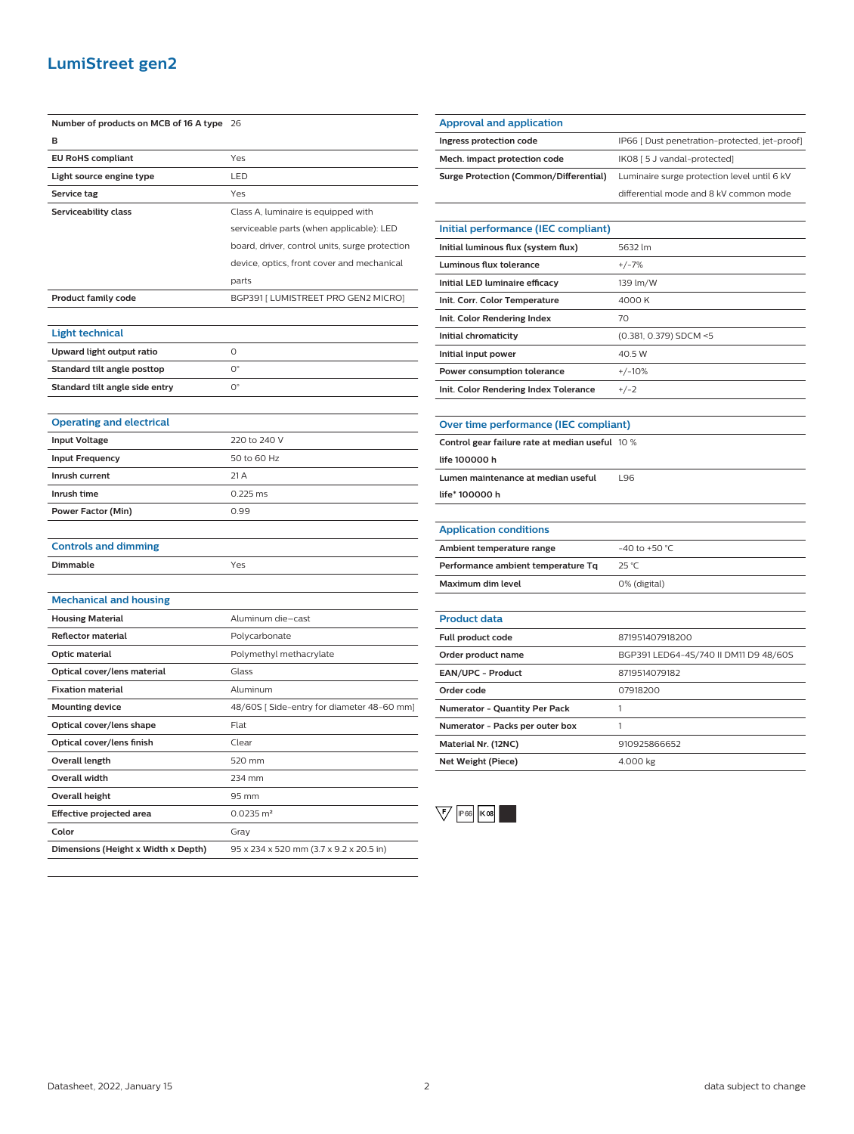### **LumiStreet gen2**

| Number of products on MCB of 16 A type | 26                                             |
|----------------------------------------|------------------------------------------------|
| B                                      |                                                |
| <b>EU RoHS compliant</b>               | Yes                                            |
| Light source engine type               | LED                                            |
| Service tag                            | Yes                                            |
| Serviceability class                   | Class A, luminaire is equipped with            |
|                                        | serviceable parts (when applicable): LED       |
|                                        | board, driver, control units, surge protection |
|                                        | device, optics, front cover and mechanical     |
|                                        | parts                                          |
| <b>Product family code</b>             | BGP391 [ LUMISTREET PRO GEN2 MICRO]            |
|                                        |                                                |
| <b>Light technical</b>                 |                                                |
| Upward light output ratio              | O                                              |
| Standard tilt angle posttop            | 0°                                             |
| Standard tilt angle side entry         | $0^{\circ}$                                    |
|                                        |                                                |
| <b>Operating and electrical</b>        |                                                |
| <b>Input Voltage</b>                   | 220 to 240 V                                   |
| <b>Input Frequency</b>                 | 50 to 60 Hz                                    |
| Inrush current                         | 21 A                                           |
| Inrush time                            | 0.225 ms                                       |
| Power Factor (Min)                     | 0.99                                           |
|                                        |                                                |
| <b>Controls and dimming</b>            |                                                |
| <b>Dimmable</b>                        | Yes                                            |
|                                        |                                                |
| <b>Mechanical and housing</b>          |                                                |
| <b>Housing Material</b>                | Aluminum die-cast                              |
| <b>Reflector material</b>              | Polycarbonate                                  |
| Optic material                         | Polymethyl methacrylate                        |
| Optical cover/lens material            | Glass                                          |
| <b>Fixation material</b>               | Aluminum                                       |
| <b>Mounting device</b>                 | 48/60S [Side-entry for diameter 48-60 mm]      |
| Optical cover/lens shape               | Flat                                           |
| Optical cover/lens finish              | Clear                                          |
| <b>Overall length</b>                  | 520 mm                                         |
| Overall width                          | 234 mm                                         |
| Overall height                         | 95 mm                                          |
| Effective projected area               | $0.0235 \text{ m}^2$                           |
| Color                                  | Gray                                           |
| Dimensions (Height x Width x Depth)    | 95 x 234 x 520 mm (3.7 x 9.2 x 20.5 in)        |

| <b>Approval and application</b>        |                                               |
|----------------------------------------|-----------------------------------------------|
| Ingress protection code                | IP66 [ Dust penetration-protected, jet-proof] |
| Mech. impact protection code           | IK08 [ 5 J vandal-protected]                  |
| Surge Protection (Common/Differential) | Luminaire surge protection level until 6 kV   |
|                                        | differential mode and 8 kV common mode        |
|                                        |                                               |
| Initial performance (IEC compliant)    |                                               |
| Initial luminous flux (system flux)    | 5632 lm                                       |
| Luminous flux tolerance                | $+/-7%$                                       |
| Initial LED luminaire efficacy         | 139 lm/W                                      |
| Init. Corr. Color Temperature          | 4000 K                                        |
| Init. Color Rendering Index            | 70                                            |
| Initial chromaticity                   | (0.381, 0.379) SDCM <5                        |
| Initial input power                    | 40.5 W                                        |
| Power consumption tolerance            | $+/-10%$                                      |
|                                        | $+/-2$                                        |

| Control gear failure rate at median useful 10 % |     |
|-------------------------------------------------|-----|
| life 100000 h                                   |     |
| Lumen maintenance at median useful              | 196 |
| life* 100000 h                                  |     |
|                                                 |     |

L

| <b>Application conditions</b>      |                  |
|------------------------------------|------------------|
| Ambient temperature range          | $-40$ to +50 °C. |
| Performance ambient temperature Tq | 25 °C            |
| Maximum dim level                  | 0% (digital)     |

| <b>Product data</b>                  |                                       |
|--------------------------------------|---------------------------------------|
| <b>Full product code</b>             | 871951407918200                       |
| Order product name                   | BGP391 LED64-4S/740 II DM11 D9 48/60S |
| <b>EAN/UPC - Product</b>             | 8719514079182                         |
| Order code                           | 07918200                              |
| <b>Numerator - Quantity Per Pack</b> |                                       |
| Numerator - Packs per outer box      |                                       |
| Material Nr. (12NC)                  | 910925866652                          |
| Net Weight (Piece)                   | 4.000 kg                              |